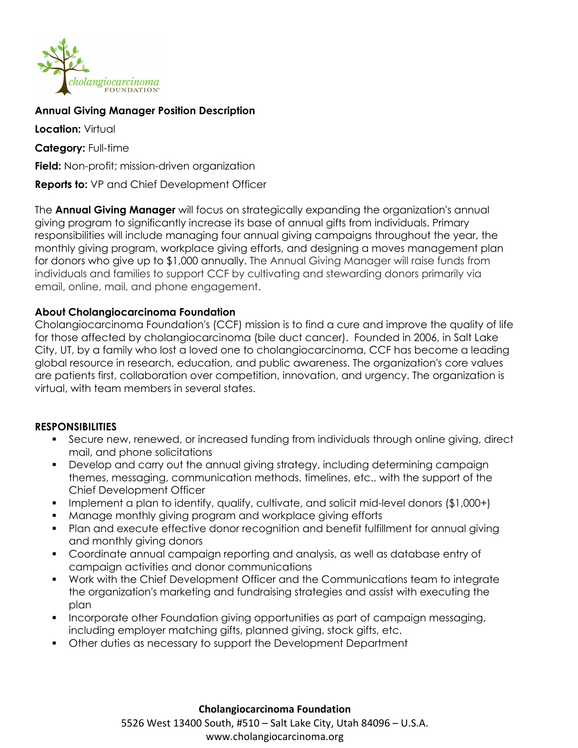

## **Annual Giving Manager Position Description**

**Location:** Virtual **Category:** Full-time **Field:** Non-profit; mission-driven organization **Reports to:** VP and Chief Development Officer

The **Annual Giving Manager** will focus on strategically expanding the organization's annual giving program to significantly increase its base of annual gifts from individuals. Primary responsibilities will include managing four annual giving campaigns throughout the year, the monthly giving program, workplace giving efforts, and designing a moves management plan for donors who give up to \$1,000 annually. The Annual Giving Manager will raise funds from individuals and families to support CCF by cultivating and stewarding donors primarily via email, online, mail, and phone engagement.

## **About Cholangiocarcinoma Foundation**

Cholangiocarcinoma Foundation's (CCF) mission is to find a cure and improve the quality of life for those affected by cholangiocarcinoma (bile duct cancer). Founded in 2006, in Salt Lake City, UT, by a family who lost a loved one to cholangiocarcinoma, CCF has become a leading global resource in research, education, and public awareness. The organization's core values are patients first, collaboration over competition, innovation, and urgency. The organization is virtual, with team members in several states.

#### **RESPONSIBILITIES**

- Secure new, renewed, or increased funding from individuals through online giving, direct mail, and phone solicitations
- **•** Develop and carry out the annual giving strategy, including determining campaign themes, messaging, communication methods, timelines, etc., with the support of the Chief Development Officer
- Implement a plan to identify, qualify, cultivate, and solicit mid-level donors (\$1,000+)
- Manage monthly giving program and workplace giving efforts
- Plan and execute effective donor recognition and benefit fulfillment for annual giving and monthly giving donors
- § Coordinate annual campaign reporting and analysis, as well as database entry of campaign activities and donor communications
- § Work with the Chief Development Officer and the Communications team to integrate the organization's marketing and fundraising strategies and assist with executing the plan
- Incorporate other Foundation giving opportunities as part of campaign messaging, including employer matching gifts, planned giving, stock gifts, etc.
- § Other duties as necessary to support the Development Department

#### **Cholangiocarcinoma Foundation**

5526 West 13400 South, #510 – Salt Lake City, Utah 84096 – U.S.A. www.cholangiocarcinoma.org